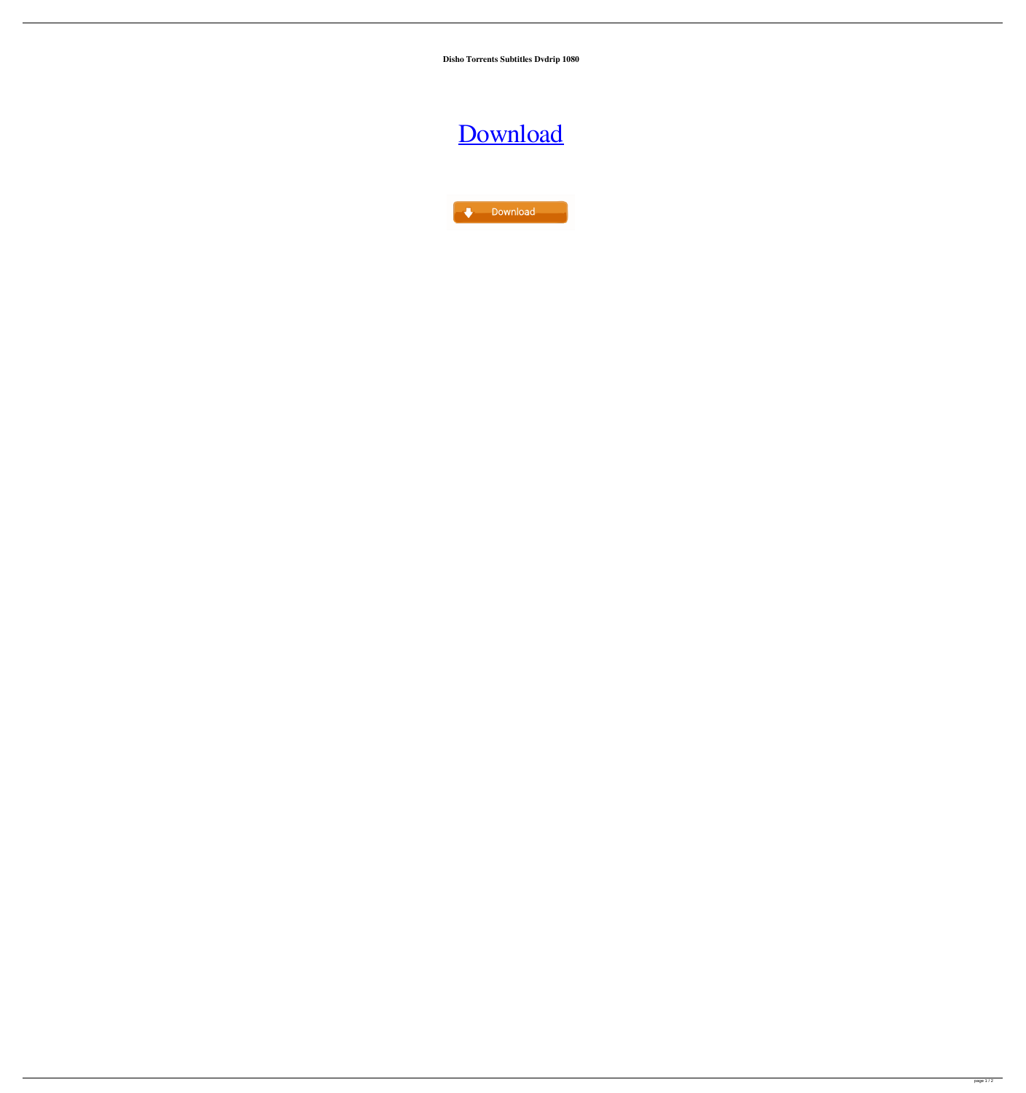**Disho Torrents Subtitles Dvdrip 1080**

## [Download](http://evacdir.com/ZG93bmxvYWR8SmszTVcxeU1IeDhNVFkxTWpjME1EZzJObng4TWpVM05IeDhLRTBwSUhKbFlXUXRZbXh2WnlCYlJtRnpkQ0JIUlU1ZA/busby/city.crossword?embankment&lullabyes=hardier&ZGlzaG9ub3JlZCAyIGNyYWNrb25seSB1cGRhdGUgZm9yIHRoZSBjcnliYWJpZXMgc3RlYW1wdW5rcwZGl=swampy)